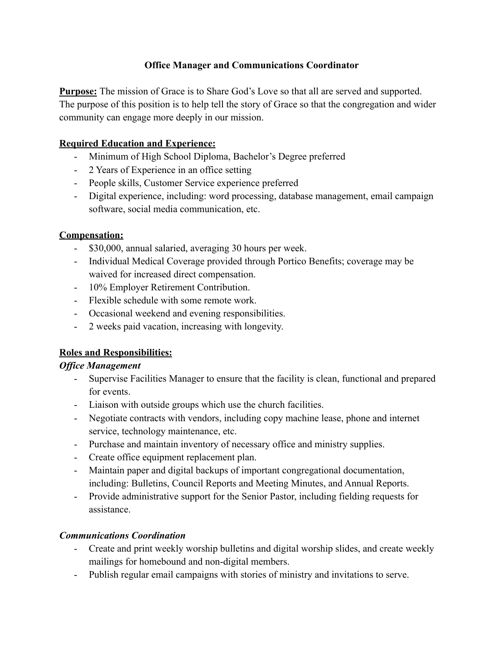## **Office Manager and Communications Coordinator**

**Purpose:** The mission of Grace is to Share God's Love so that all are served and supported. The purpose of this position is to help tell the story of Grace so that the congregation and wider community can engage more deeply in our mission.

## **Required Education and Experience:**

- Minimum of High School Diploma, Bachelor's Degree preferred
- 2 Years of Experience in an office setting
- People skills, Customer Service experience preferred
- Digital experience, including: word processing, database management, email campaign software, social media communication, etc.

## **Compensation:**

- \$30,000, annual salaried, averaging 30 hours per week.
- Individual Medical Coverage provided through Portico Benefits; coverage may be waived for increased direct compensation.
- 10% Employer Retirement Contribution.
- Flexible schedule with some remote work.
- Occasional weekend and evening responsibilities.
- 2 weeks paid vacation, increasing with longevity.

# **Roles and Responsibilities:**

## *Office Management*

- Supervise Facilities Manager to ensure that the facility is clean, functional and prepared for events.
- Liaison with outside groups which use the church facilities.
- Negotiate contracts with vendors, including copy machine lease, phone and internet service, technology maintenance, etc.
- Purchase and maintain inventory of necessary office and ministry supplies.
- Create office equipment replacement plan.
- Maintain paper and digital backups of important congregational documentation, including: Bulletins, Council Reports and Meeting Minutes, and Annual Reports.
- Provide administrative support for the Senior Pastor, including fielding requests for assistance.

## *Communications Coordination*

- Create and print weekly worship bulletins and digital worship slides, and create weekly mailings for homebound and non-digital members.
- Publish regular email campaigns with stories of ministry and invitations to serve.